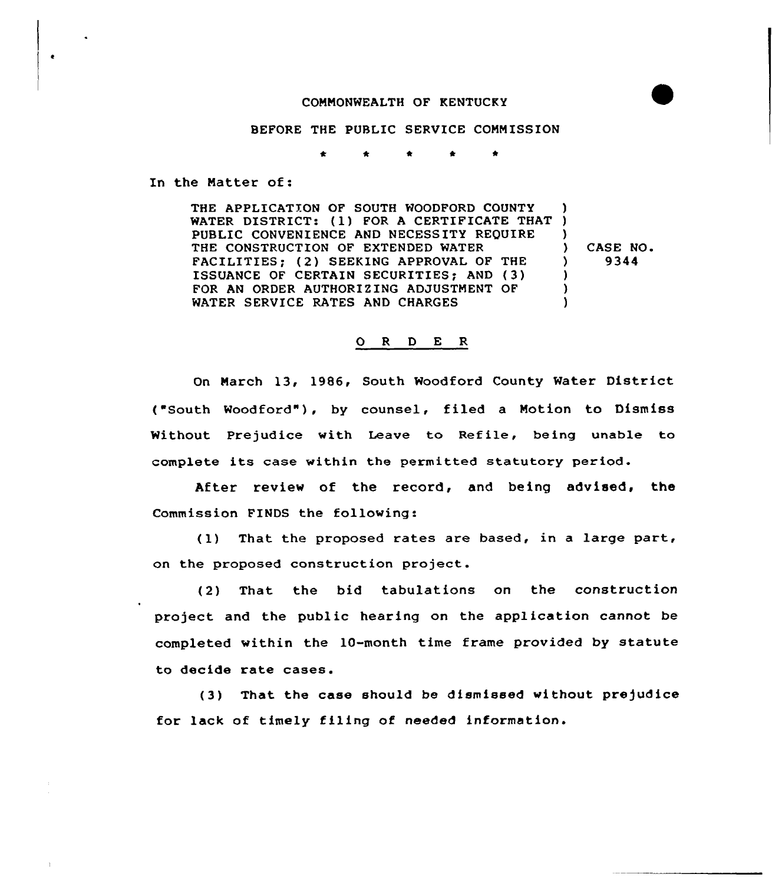## CONMONWEALTH OF KENTUCKY

## BEFORE THE PUBLIC SERVICE COMMISSION

<sup>k</sup> \* \* <sup>k</sup>

In the Matter of:

THE APPLICATION OF SOUTH WOODFORD COUNTY THE APPLICATION OF SOUTH WOODFORD COUNTY<br>WATER DISTRICT: (1) FOR A CERTIFICATE THAT ) PUBLIC CONVENIENCE AND NECESSITY REQUIRE THE CONSTRUCTION OF EXTENDED WATER FACILITIES; (2) SEEKING APPROVAL OF THE ISSUANCE OF CERTAIN SECURITIES; AND (3) FOR AN ORDER AUTHORIZING ADJUSTMENT OF WATER SERVICE RATES AND CHARGES )  $\left\{ \right.$ ) ) CASE NO.<br> $9344$ ) 9344  $\lambda$ )  $\lambda$ 

## 0 <sup>R</sup> <sup>D</sup> E <sup>R</sup>

On March 13, 1986, South Woodford County Water District ("South Woodford"), by counsel, filed <sup>a</sup> Notion to Dismiss Without Prejudice with Leave to Refile, being unable to complete its case within the permitted statutory period.

After review of the record, and being advised, the Commission FINDS the following:

(1) That the proposed rates are based, in <sup>a</sup> large part, on the proposed construction project.

(2) That the bid tabulations on the construction project and the public hearing on the application cannot be completed within the 10-month time frame provided by statute to decide rate cases.

(3) That the case should be dismissed without prejudice for lack of timely filing of needed information.